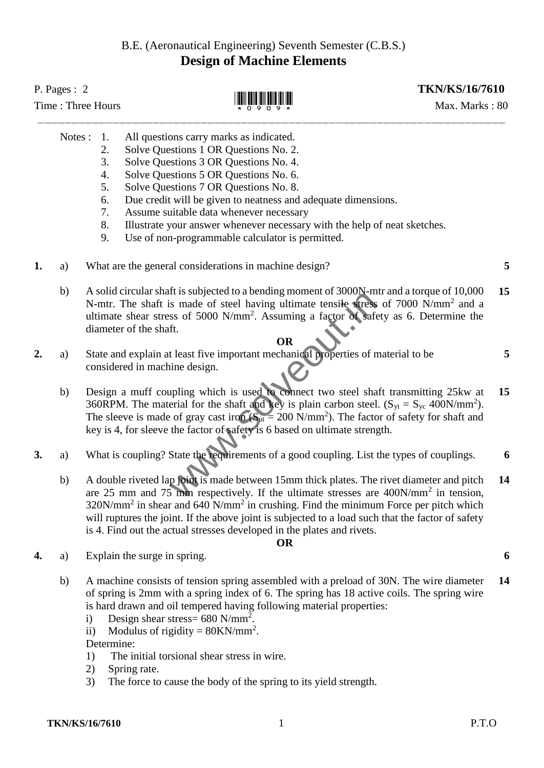## B.E. (Aeronautical Engineering) Seventh Semester (C.B.S.) **Design of Machine Elements**

| P. Pages : $2$<br>Time: Three Hours |        |                                                                                                                                                                                                                                                                                                                                                                                            |                                                                                                                                                                                                                                                                                                                                                                                                                                                                                                       | <b>TKN/KS/16/7610</b><br>Max. Marks: 80 |    |
|-------------------------------------|--------|--------------------------------------------------------------------------------------------------------------------------------------------------------------------------------------------------------------------------------------------------------------------------------------------------------------------------------------------------------------------------------------------|-------------------------------------------------------------------------------------------------------------------------------------------------------------------------------------------------------------------------------------------------------------------------------------------------------------------------------------------------------------------------------------------------------------------------------------------------------------------------------------------------------|-----------------------------------------|----|
|                                     | Notes: | 1.<br>2.<br>3.<br>4.<br>5.<br>6.<br>7.<br>8.<br>9.                                                                                                                                                                                                                                                                                                                                         | All questions carry marks as indicated.<br>Solve Questions 1 OR Questions No. 2.<br>Solve Questions 3 OR Questions No. 4.<br>Solve Questions 5 OR Questions No. 6.<br>Solve Questions 7 OR Questions No. 8.<br>Due credit will be given to neatness and adequate dimensions.<br>Assume suitable data whenever necessary<br>Illustrate your answer whenever necessary with the help of neat sketches.<br>Use of non-programmable calculator is permitted.                                              |                                         |    |
| 1.                                  | a)     |                                                                                                                                                                                                                                                                                                                                                                                            | What are the general considerations in machine design?                                                                                                                                                                                                                                                                                                                                                                                                                                                |                                         | 5  |
|                                     | b)     |                                                                                                                                                                                                                                                                                                                                                                                            | A solid circular shaft is subjected to a bending moment of 3000N-mtr and a torque of 10,000<br>N-mtr. The shaft is made of steel having ultimate tensile stress of 7000 N/mm <sup>2</sup> and a<br>ultimate shear stress of 5000 N/mm <sup>2</sup> . Assuming a factor of safety as 6. Determine the<br>diameter of the shaft.<br><b>OR</b>                                                                                                                                                           |                                         | 15 |
| 2.                                  | a)     | State and explain at least five important mechanical properties of material to be<br>5<br>considered in machine design.                                                                                                                                                                                                                                                                    |                                                                                                                                                                                                                                                                                                                                                                                                                                                                                                       |                                         |    |
|                                     | b)     | Design a muff coupling which is used to connect two steel shaft transmitting 25kw at<br>15<br>360RPM. The material for the shaft and key is plain carbon steel. $(S_{yt} = S_{yc} 400N/mm^2$ .<br>The sleeve is made of gray cast iron ( $Sut = 200$ N/mm <sup>2</sup> ). The factor of safety for shaft and<br>key is 4, for sleeve the factor of safety is 6 based on ultimate strength. |                                                                                                                                                                                                                                                                                                                                                                                                                                                                                                       |                                         |    |
| 3.                                  | a)     |                                                                                                                                                                                                                                                                                                                                                                                            | What is coupling? State the requirements of a good coupling. List the types of couplings.                                                                                                                                                                                                                                                                                                                                                                                                             |                                         | 6  |
|                                     | b)     |                                                                                                                                                                                                                                                                                                                                                                                            | A double riveted lap joint is made between 15mm thick plates. The rivet diameter and pitch<br>are 25 mm and 75 mm respectively. If the ultimate stresses are $400N/mm^2$ in tension,<br>320N/mm <sup>2</sup> in shear and 640 N/mm <sup>2</sup> in crushing. Find the minimum Force per pitch which<br>will ruptures the joint. If the above joint is subjected to a load such that the factor of safety<br>is 4. Find out the actual stresses developed in the plates and rivets.                    |                                         | 14 |
| 4.                                  | a)     |                                                                                                                                                                                                                                                                                                                                                                                            | <b>OR</b><br>Explain the surge in spring.                                                                                                                                                                                                                                                                                                                                                                                                                                                             |                                         | 6  |
|                                     | b)     | $\mathbf{i}$<br>$\rm ii)$<br>Determine:<br>1)<br>2)<br>3)                                                                                                                                                                                                                                                                                                                                  | A machine consists of tension spring assembled with a preload of 30N. The wire diameter<br>of spring is 2mm with a spring index of 6. The spring has 18 active coils. The spring wire<br>is hard drawn and oil tempered having following material properties:<br>Design shear stress= $680$ N/mm <sup>2</sup> .<br>Modulus of rigidity = $80$ KN/mm <sup>2</sup> .<br>The initial torsional shear stress in wire.<br>Spring rate.<br>The force to cause the body of the spring to its yield strength. |                                         | 14 |